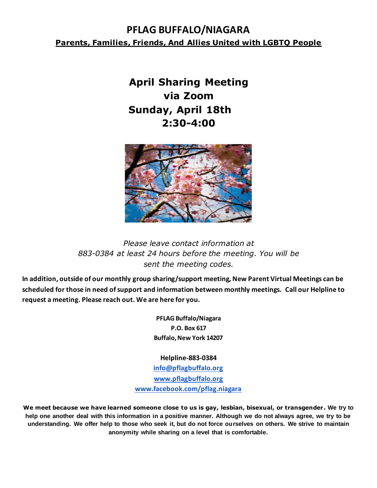### **PFLAG BUFFALO/NIAGARA Parents, Families, Friends, And Allies United with LGBTQ People**

# **April Sharing Meeting via Zoom Sunday, April 18th 2:30-4:00**



*Please leave contact information at 883-0384 at least 24 hours before the meeting. You will be sent the meeting codes.* 

**In addition, outside of our monthly group sharing/support meeting, New Parent Virtual Meetings can be scheduled for those in need of support and information between monthly meetings. Call our Helpline to request a meeting. Please reach out. We are here for you.**

> **PFLAG Buffalo/Niagara P.O. Box 617 Buffalo, New York 14207**

**Helpline-883-0384 [info@pflagbuffalo.org](mailto:info@pflagbuffalo.org) [www.pflagbuffalo.org](http://www.pflagbuffalo.org/) [www.facebook.com/pflag.niagara](http://www.facebook.com/pflag.niagara)**

**We meet because we have learned someone close to us is gay, lesbian, bisexual, or transgender. We try to help one another deal with this information in a positive manner. Although we do not always agree, we try to be understanding. We offer help to those who seek it, but do not force ourselves on others. We strive to maintain anonymity while sharing on a level that is comfortable.**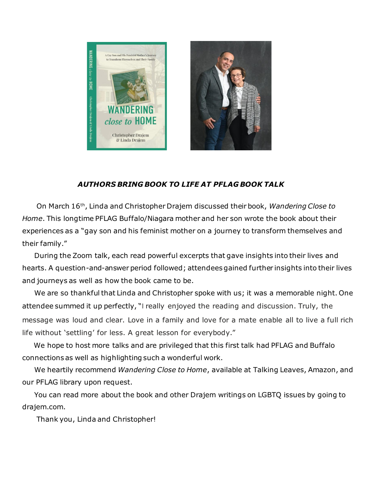

#### *AUTHORS BRING BOOK TO LIFE AT PFLAG BOOK TALK*

 On March 16th, Linda and Christopher Drajem discussed their book, *Wandering Close to Home*. This longtime PFLAG Buffalo/Niagara mother and her son wrote the book about their experiences as a "gay son and his feminist mother on a journey to transform themselves and their family."

 During the Zoom talk, each read powerful excerpts that gave insights into their lives and hearts. A question-and-answer period followed; attendees gained further insights into their lives and journeys as well as how the book came to be.

 We are so thankful that Linda and Christopher spoke with us; it was a memorable night. One attendee summed it up perfectly, "I really enjoyed the reading and discussion. Truly, the message was loud and clear. Love in a family and love for a mate enable all to live a full rich life without 'settling' for less. A great lesson for everybody."

 We hope to host more talks and are privileged that this first talk had PFLAG and Buffalo connections as well as highlighting such a wonderful work.

 We heartily recommend *Wandering Close to Home*, available at Talking Leaves, Amazon, and our PFLAG library upon request.

 You can read more about the book and other Drajem writings on LGBTQ issues by going to drajem.com.

Thank you, Linda and Christopher!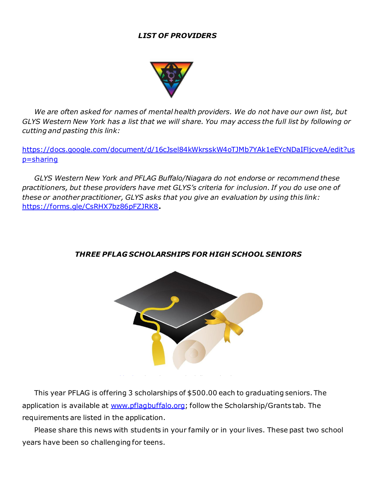#### *LIST OF PROVIDERS*



 *We are often asked for names of mental health providers. We do not have our own list, but GLYS Western New York has a list that we will share. You may access the full list by following or cutting and pasting this link:*

[https://docs.google.com/document/d/16cJsel84kWkrsskW4oTJMb7YAk1eEYcNDaIFljcveA/edit?us](https://docs.google.com/document/d/16cJsel84kWkrsskW4oTJMb7YAk1eEYcNDaIFljcveA/edit?usp=sharing) [p=sharing](https://docs.google.com/document/d/16cJsel84kWkrsskW4oTJMb7YAk1eEYcNDaIFljcveA/edit?usp=sharing)

 *GLYS Western New York and PFLAG Buffalo/Niagara do not endorse or recommend these practitioners, but these providers have met GLYS's criteria for inclusion. If you do use one of these or another practitioner, GLYS asks that you give an evaluation by using this link:* <https://forms.gle/CsRHX7bz86pFZJRK8>**.** 



#### *THREE PFLAG SCHOLARSHIPS FOR HIGH SCHOOL SENIORS*

This year PFLAG is offering 3 scholarships of \$500.00 each to graduating seniors. The application is available at [www.pflagbuffalo.org](http://www.pflagbuffalo.org/); follow the Scholarship/Grants tab. The requirements are listed in the application.

 Please share this news with students in your family or in your lives. These past two school years have been so challenging for teens.